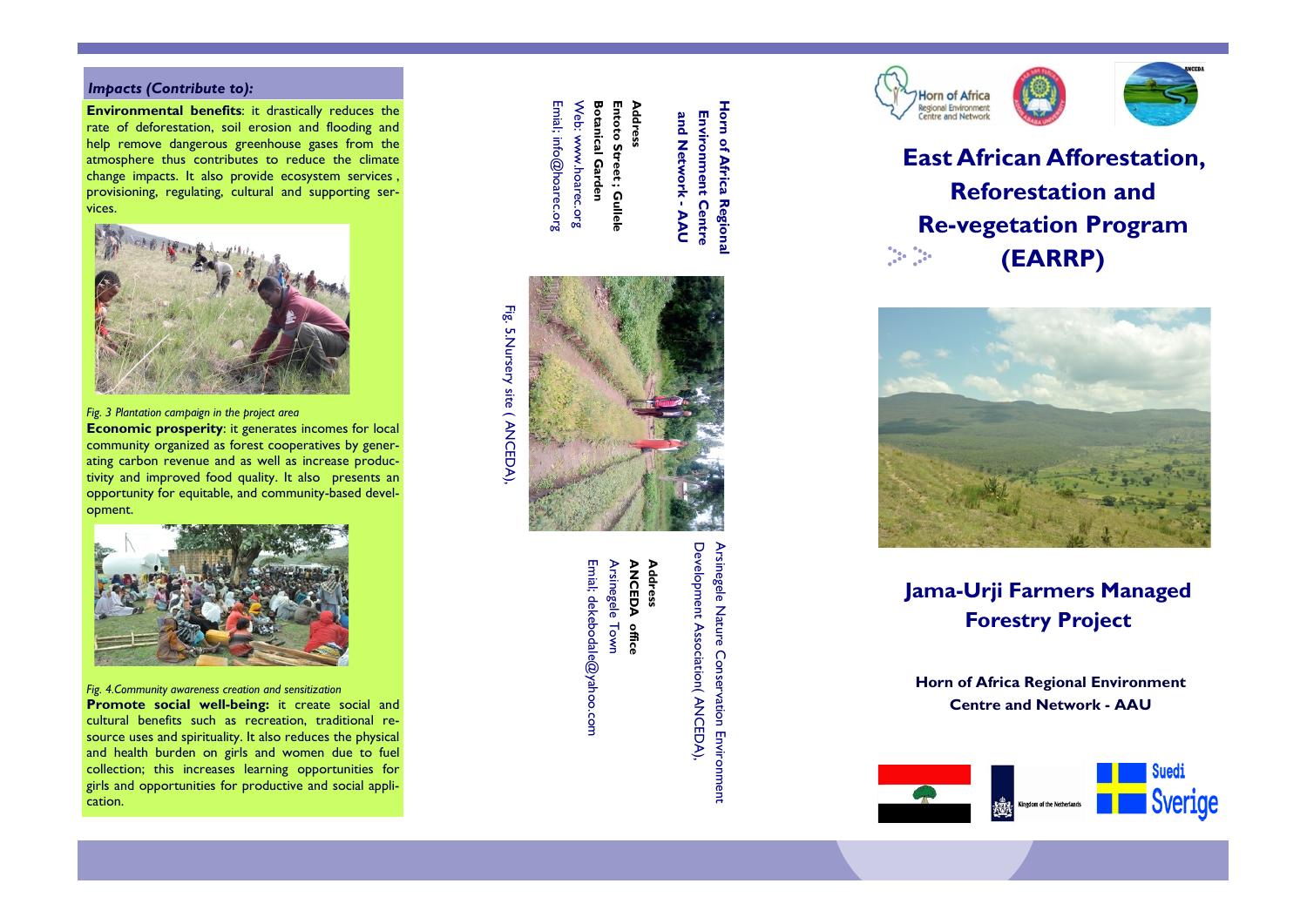## Impacts (Contribute to):

Environmental benefits: it drastically reduces the rate of deforestation, soil erosion and flooding and help remove dangerous greenhouse gases from the atmosphere thus contributes to reduce the climate change impacts. It also provide ecosystem services , provisioning, regulating, cultural and supporting services.



Fig. 3 Plantation campaign in the project area

Economic prosperity: it generates incomes for local community organized as forest cooperatives by generating carbon revenue and as well as increase productivity and improved food quality. It also presents an opportunity for equitable, and community -based development.



Fig. 4.Community awareness creation and sensitization

Promote social well-being: it create social and cultural benefits such as recreation, traditional resource uses and spirituality. It also reduces the physical and health burden on girls and women due to fuel collection; this increases learning opportunities for girls and opportunities for productive and social application.

Emial; info@hoarec.org Web: www.hoarec.org Web: www.hoarec.org **Botanical Garden** Entoto Street; Gullele Address Emial; info@hoarec.org Botanical Garden Entoto Street ; Gullele ddress

**Horn of Africa Regiona** Horn of Africa Regional **Environment Centre** and Network Environment Centre -<br>N<br>C



Emial; dekebodale@yahoo.com Arsinegele Town Arsinegele Town **ANCEDA** ANCEDA office **Address** dekebodale@yahoo.com office

Address

Development Association (ANCEDA) Arsinegele Nature Conservation Environment Arsinegele Nature Conservation Environment Development Association( ANCEDA),



East African Afforestation, Reforestation and Re -vegetation Program ta.<br>List  $\frac{1}{2}$ (EARRP)



Jama -Urji Farmers Managed Forestry Project

Horn of Africa Regional Environment Centre and Network - AAU